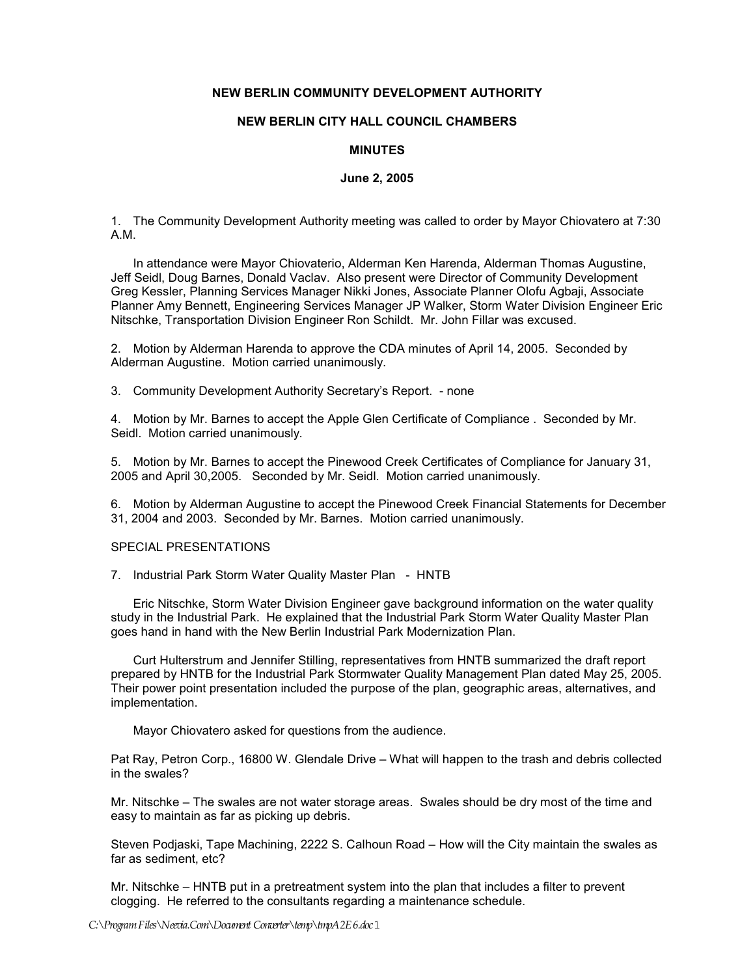## **NEW BERLIN COMMUNITY DEVELOPMENT AUTHORITY**

# **NEW BERLIN CITY HALL COUNCIL CHAMBERS**

#### **MINUTES**

### **June 2, 2005**

1. The Community Development Authority meeting was called to order by Mayor Chiovatero at 7:30 A.M.

In attendance were Mayor Chiovaterio, Alderman Ken Harenda, Alderman Thomas Augustine, Jeff Seidl, Doug Barnes, Donald Vaclav. Also present were Director of Community Development Greg Kessler, Planning Services Manager Nikki Jones, Associate Planner Olofu Agbaji, Associate Planner Amy Bennett, Engineering Services Manager JP Walker, Storm Water Division Engineer Eric Nitschke, Transportation Division Engineer Ron Schildt. Mr. John Fillar was excused.

2. Motion by Alderman Harenda to approve the CDA minutes of April 14, 2005. Seconded by Alderman Augustine. Motion carried unanimously.

3. Community Development Authority Secretary's Report. - none

4. Motion by Mr. Barnes to accept the Apple Glen Certificate of Compliance . Seconded by Mr. Seidl. Motion carried unanimously.

5. Motion by Mr. Barnes to accept the Pinewood Creek Certificates of Compliance for January 31, 2005 and April 30,2005. Seconded by Mr. Seidl. Motion carried unanimously.

6. Motion by Alderman Augustine to accept the Pinewood Creek Financial Statements for December 31, 2004 and 2003. Seconded by Mr. Barnes. Motion carried unanimously.

#### SPECIAL PRESENTATIONS

7. Industrial Park Storm Water Quality Master Plan - HNTB

 Eric Nitschke, Storm Water Division Engineer gave background information on the water quality study in the Industrial Park. He explained that the Industrial Park Storm Water Quality Master Plan goes hand in hand with the New Berlin Industrial Park Modernization Plan.

Curt Hulterstrum and Jennifer Stilling, representatives from HNTB summarized the draft report prepared by HNTB for the Industrial Park Stormwater Quality Management Plan dated May 25, 2005. Their power point presentation included the purpose of the plan, geographic areas, alternatives, and implementation.

Mayor Chiovatero asked for questions from the audience.

Pat Ray, Petron Corp., 16800 W. Glendale Drive – What will happen to the trash and debris collected in the swales?

Mr. Nitschke – The swales are not water storage areas. Swales should be dry most of the time and easy to maintain as far as picking up debris.

Steven Podjaski, Tape Machining, 2222 S. Calhoun Road – How will the City maintain the swales as far as sediment, etc?

Mr. Nitschke – HNTB put in a pretreatment system into the plan that includes a filter to prevent clogging. He referred to the consultants regarding a maintenance schedule.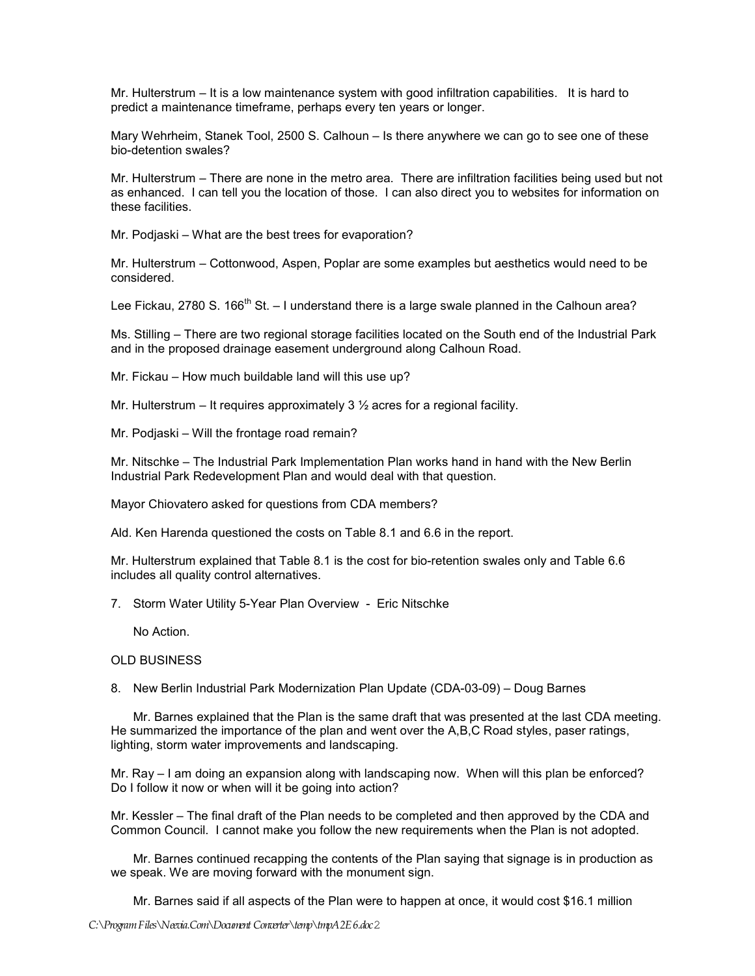Mr. Hulterstrum – It is a low maintenance system with good infiltration capabilities. It is hard to predict a maintenance timeframe, perhaps every ten years or longer.

Mary Wehrheim, Stanek Tool, 2500 S. Calhoun – Is there anywhere we can go to see one of these bio-detention swales?

Mr. Hulterstrum – There are none in the metro area. There are infiltration facilities being used but not as enhanced. I can tell you the location of those. I can also direct you to websites for information on these facilities.

Mr. Podjaski – What are the best trees for evaporation?

Mr. Hulterstrum – Cottonwood, Aspen, Poplar are some examples but aesthetics would need to be considered.

Lee Fickau, 2780 S. 166<sup>th</sup> St. – I understand there is a large swale planned in the Calhoun area?

Ms. Stilling – There are two regional storage facilities located on the South end of the Industrial Park and in the proposed drainage easement underground along Calhoun Road.

Mr. Fickau – How much buildable land will this use up?

Mr. Hulterstrum – It requires approximately 3 ½ acres for a regional facility.

Mr. Podjaski – Will the frontage road remain?

Mr. Nitschke – The Industrial Park Implementation Plan works hand in hand with the New Berlin Industrial Park Redevelopment Plan and would deal with that question.

Mayor Chiovatero asked for questions from CDA members?

Ald. Ken Harenda questioned the costs on Table 8.1 and 6.6 in the report.

Mr. Hulterstrum explained that Table 8.1 is the cost for bio-retention swales only and Table 6.6 includes all quality control alternatives.

7. Storm Water Utility 5-Year Plan Overview - Eric Nitschke

No Action.

OLD BUSINESS

8. New Berlin Industrial Park Modernization Plan Update (CDA-03-09) – Doug Barnes

Mr. Barnes explained that the Plan is the same draft that was presented at the last CDA meeting. He summarized the importance of the plan and went over the A,B,C Road styles, paser ratings, lighting, storm water improvements and landscaping.

Mr. Ray – I am doing an expansion along with landscaping now. When will this plan be enforced? Do I follow it now or when will it be going into action?

Mr. Kessler – The final draft of the Plan needs to be completed and then approved by the CDA and Common Council. I cannot make you follow the new requirements when the Plan is not adopted.

 Mr. Barnes continued recapping the contents of the Plan saying that signage is in production as we speak. We are moving forward with the monument sign.

Mr. Barnes said if all aspects of the Plan were to happen at once, it would cost \$16.1 million